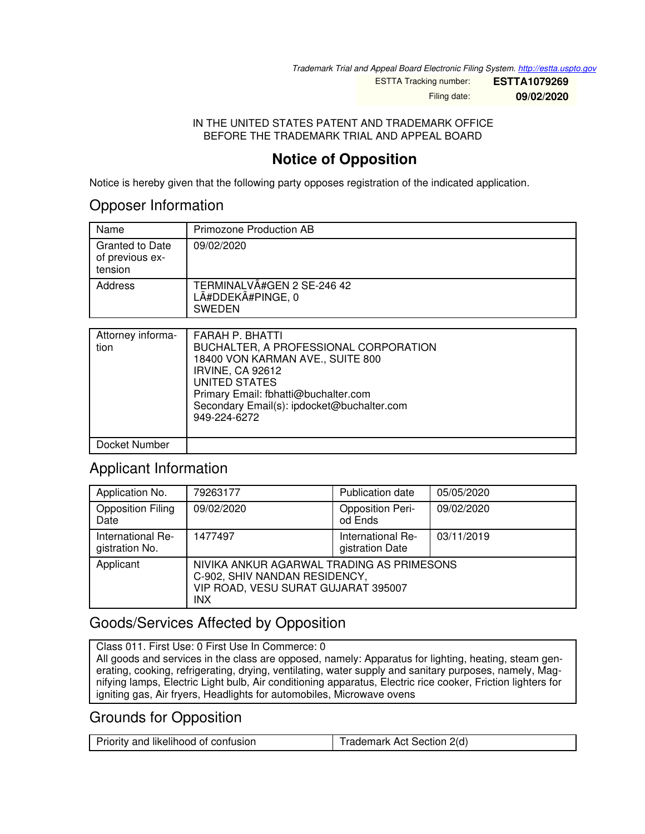*Trademark Trial and Appeal Board Electronic Filing System. <http://estta.uspto.gov>*

ESTTA Tracking number: **ESTTA1079269** Filing date: **09/02/2020**

IN THE UNITED STATES PATENT AND TRADEMARK OFFICE BEFORE THE TRADEMARK TRIAL AND APPEAL BOARD

## **Notice of Opposition**

Notice is hereby given that the following party opposes registration of the indicated application.

#### Opposer Information

| Name                                                 | Primozone Production AB                                          |
|------------------------------------------------------|------------------------------------------------------------------|
| <b>Granted to Date</b><br>of previous ex-<br>tension | 09/02/2020                                                       |
| Address                                              | TERMINALVÃ#GEN 2 SE-246 42<br>LÃ#DDEKÃ#PINGE, 0<br><b>SWEDEN</b> |

| Attorney informa-<br>tion | FARAH P. BHATTI<br>BUCHALTER, A PROFESSIONAL CORPORATION<br>18400 VON KARMAN AVE., SUITE 800<br><b>IRVINE, CA 92612</b><br>UNITED STATES<br>Primary Email: fbhatti@buchalter.com<br>Secondary Email(s): ipdocket@buchalter.com<br>949-224-6272 |
|---------------------------|------------------------------------------------------------------------------------------------------------------------------------------------------------------------------------------------------------------------------------------------|
| Docket Number             |                                                                                                                                                                                                                                                |

### Applicant Information

| Application No.                     | 79263177                                                                                                                        | <b>Publication date</b>              | 05/05/2020 |
|-------------------------------------|---------------------------------------------------------------------------------------------------------------------------------|--------------------------------------|------------|
| <b>Opposition Filing</b><br>Date    | 09/02/2020                                                                                                                      | <b>Opposition Peri-</b><br>od Ends   | 09/02/2020 |
| International Re-<br>gistration No. | 1477497                                                                                                                         | International Re-<br>gistration Date | 03/11/2019 |
| Applicant                           | NIVIKA ANKUR AGARWAL TRADING AS PRIMESONS<br>C-902, SHIV NANDAN RESIDENCY,<br>VIP ROAD, VESU SURAT GUJARAT 395007<br><b>INX</b> |                                      |            |

### Goods/Services Affected by Opposition

Class 011. First Use: 0 First Use In Commerce: 0 All goods and services in the class are opposed, namely: Apparatus for lighting, heating, steam generating, cooking, refrigerating, drying, ventilating, water supply and sanitary purposes, namely, Magnifying lamps, Electric Light bulb, Air conditioning apparatus, Electric rice cooker, Friction lighters for igniting gas, Air fryers, Headlights for automobiles, Microwave ovens

### Grounds for Opposition

| Priority and likelihood of confusion | Trademark Act Section 2(d) |
|--------------------------------------|----------------------------|
|--------------------------------------|----------------------------|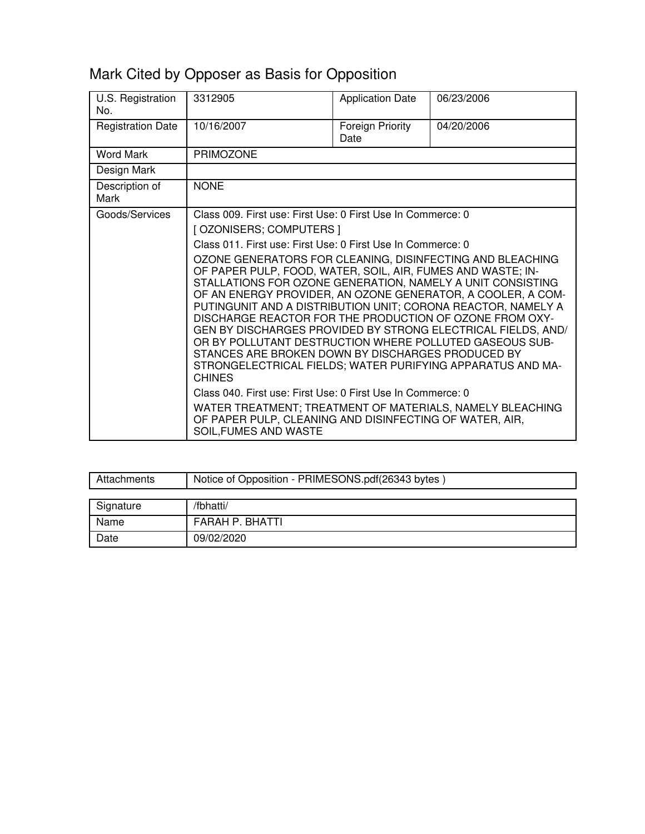# Mark Cited by Opposer as Basis for Opposition

| U.S. Registration<br>No. | 3312905                                                                                                                                                                                                                                                                                                                                                                                                                                                                                                                                                                                                                                                                                                                                                                                                                                                                                                                                                                                          | <b>Application Date</b>  | 06/23/2006 |
|--------------------------|--------------------------------------------------------------------------------------------------------------------------------------------------------------------------------------------------------------------------------------------------------------------------------------------------------------------------------------------------------------------------------------------------------------------------------------------------------------------------------------------------------------------------------------------------------------------------------------------------------------------------------------------------------------------------------------------------------------------------------------------------------------------------------------------------------------------------------------------------------------------------------------------------------------------------------------------------------------------------------------------------|--------------------------|------------|
| <b>Registration Date</b> | 10/16/2007                                                                                                                                                                                                                                                                                                                                                                                                                                                                                                                                                                                                                                                                                                                                                                                                                                                                                                                                                                                       | Foreign Priority<br>Date | 04/20/2006 |
| <b>Word Mark</b>         | <b>PRIMOZONE</b>                                                                                                                                                                                                                                                                                                                                                                                                                                                                                                                                                                                                                                                                                                                                                                                                                                                                                                                                                                                 |                          |            |
| Design Mark              |                                                                                                                                                                                                                                                                                                                                                                                                                                                                                                                                                                                                                                                                                                                                                                                                                                                                                                                                                                                                  |                          |            |
| Description of<br>Mark   | <b>NONE</b>                                                                                                                                                                                                                                                                                                                                                                                                                                                                                                                                                                                                                                                                                                                                                                                                                                                                                                                                                                                      |                          |            |
| Goods/Services           | Class 009. First use: First Use: 0 First Use In Commerce: 0<br>[ OZONISERS; COMPUTERS ]<br>Class 011. First use: First Use: 0 First Use In Commerce: 0<br>OZONE GENERATORS FOR CLEANING, DISINFECTING AND BLEACHING<br>OF PAPER PULP, FOOD, WATER, SOIL, AIR, FUMES AND WASTE; IN-<br>STALLATIONS FOR OZONE GENERATION, NAMELY A UNIT CONSISTING<br>OF AN ENERGY PROVIDER, AN OZONE GENERATOR, A COOLER, A COM-<br>PUTINGUNIT AND A DISTRIBUTION UNIT; CORONA REACTOR, NAMELY A<br>DISCHARGE REACTOR FOR THE PRODUCTION OF OZONE FROM OXY-<br>GEN BY DISCHARGES PROVIDED BY STRONG ELECTRICAL FIELDS, AND/<br>OR BY POLLUTANT DESTRUCTION WHERE POLLUTED GASEOUS SUB-<br>STANCES ARE BROKEN DOWN BY DISCHARGES PRODUCED BY<br>STRONGELECTRICAL FIELDS; WATER PURIFYING APPARATUS AND MA-<br><b>CHINES</b><br>Class 040. First use: First Use: 0 First Use In Commerce: 0<br>WATER TREATMENT; TREATMENT OF MATERIALS, NAMELY BLEACHING<br>OF PAPER PULP, CLEANING AND DISINFECTING OF WATER, AIR, |                          |            |

| Attachments | Notice of Opposition - PRIMESONS.pdf(26343 bytes) |
|-------------|---------------------------------------------------|
|             |                                                   |
| Signature   | /fbhatti/                                         |
| Name        | FARAH P. BHATTI                                   |
| Date        | 09/02/2020                                        |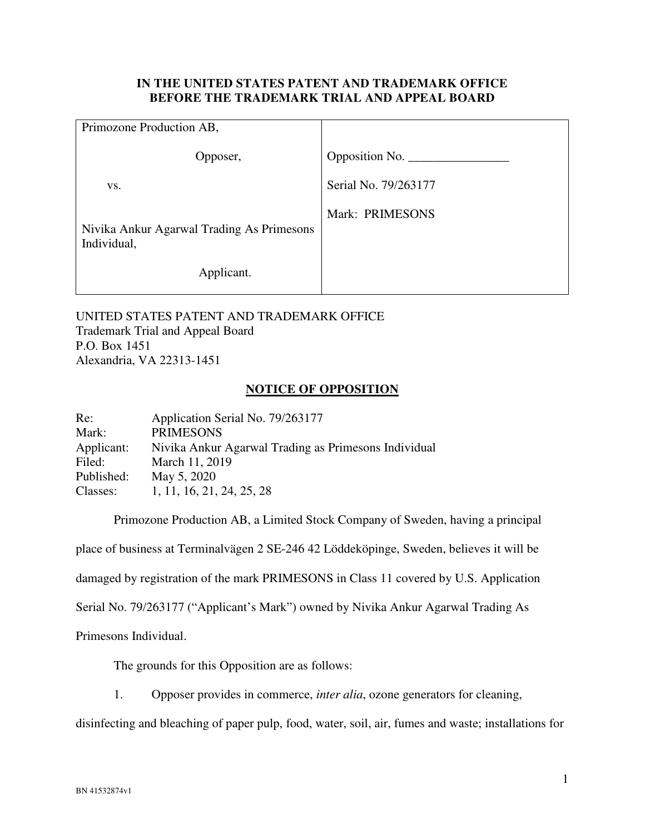#### **IN THE UNITED STATES PATENT AND TRADEMARK OFFICE BEFORE THE TRADEMARK TRIAL AND APPEAL BOARD**

| Primozone Production AB,                                 |                      |
|----------------------------------------------------------|----------------------|
| Opposer,                                                 | Opposition No.       |
| VS.                                                      | Serial No. 79/263177 |
| Nivika Ankur Agarwal Trading As Primesons<br>Individual, | Mark: PRIMESONS      |
| Applicant.                                               |                      |

UNITED STATES PATENT AND TRADEMARK OFFICE Trademark Trial and Appeal Board P.O. Box 1451 Alexandria, VA 22313-1451

#### **NOTICE OF OPPOSITION**

| Re:        | Application Serial No. 79/263177                     |
|------------|------------------------------------------------------|
| Mark:      | <b>PRIMESONS</b>                                     |
| Applicant: | Nivika Ankur Agarwal Trading as Primesons Individual |
| Filed:     | March 11, 2019                                       |
| Published: | May 5, 2020                                          |
| Classes:   | 1, 11, 16, 21, 24, 25, 28                            |

 Primozone Production AB, a Limited Stock Company of Sweden, having a principal place of business at Terminalvägen 2 SE-246 42 Löddeköpinge, Sweden, believes it will be damaged by registration of the mark PRIMESONS in Class 11 covered by U.S. Application Serial No. 79/263177 ("Applicant's Mark") owned by Nivika Ankur Agarwal Trading As Primesons Individual.

The grounds for this Opposition are as follows:

1. Opposer provides in commerce, *inter alia*, ozone generators for cleaning,

disinfecting and bleaching of paper pulp, food, water, soil, air, fumes and waste; installations for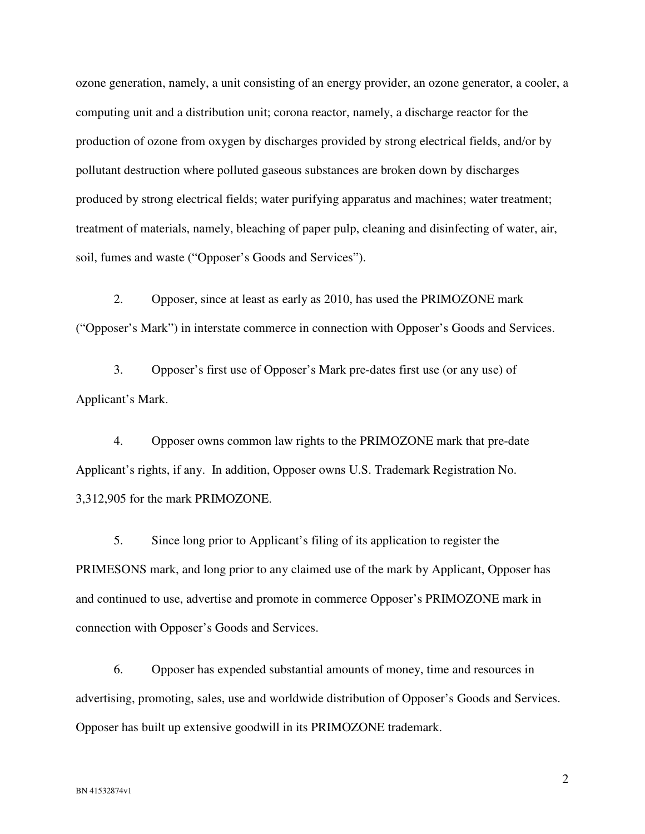ozone generation, namely, a unit consisting of an energy provider, an ozone generator, a cooler, a computing unit and a distribution unit; corona reactor, namely, a discharge reactor for the production of ozone from oxygen by discharges provided by strong electrical fields, and/or by pollutant destruction where polluted gaseous substances are broken down by discharges produced by strong electrical fields; water purifying apparatus and machines; water treatment; treatment of materials, namely, bleaching of paper pulp, cleaning and disinfecting of water, air, soil, fumes and waste ("Opposer's Goods and Services").

2. Opposer, since at least as early as 2010, has used the PRIMOZONE mark ("Opposer's Mark") in interstate commerce in connection with Opposer's Goods and Services.

3. Opposer's first use of Opposer's Mark pre-dates first use (or any use) of Applicant's Mark.

4. Opposer owns common law rights to the PRIMOZONE mark that pre-date Applicant's rights, if any. In addition, Opposer owns U.S. Trademark Registration No. 3,312,905 for the mark PRIMOZONE.

5. Since long prior to Applicant's filing of its application to register the PRIMESONS mark, and long prior to any claimed use of the mark by Applicant, Opposer has and continued to use, advertise and promote in commerce Opposer's PRIMOZONE mark in connection with Opposer's Goods and Services.

6. Opposer has expended substantial amounts of money, time and resources in advertising, promoting, sales, use and worldwide distribution of Opposer's Goods and Services. Opposer has built up extensive goodwill in its PRIMOZONE trademark.

2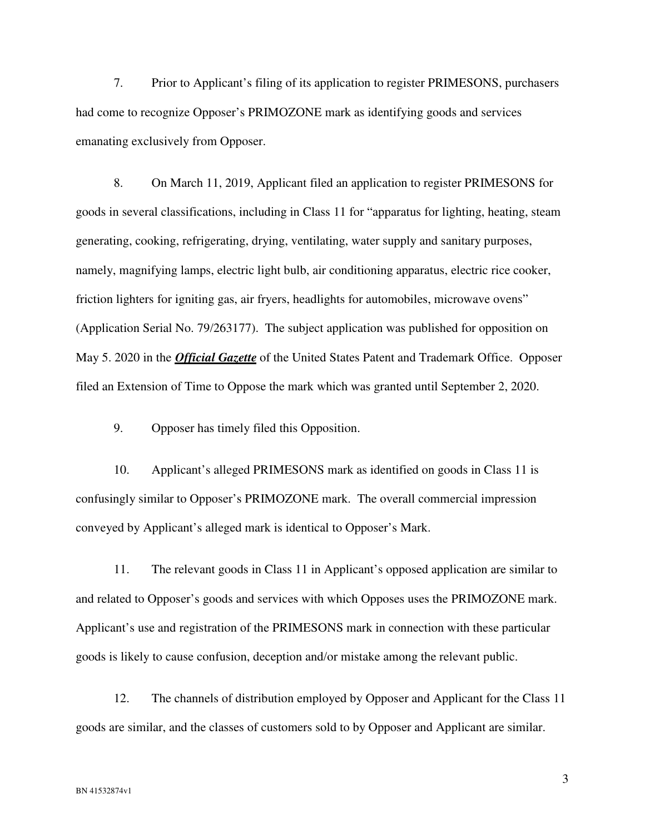7. Prior to Applicant's filing of its application to register PRIMESONS, purchasers had come to recognize Opposer's PRIMOZONE mark as identifying goods and services emanating exclusively from Opposer.

8. On March 11, 2019, Applicant filed an application to register PRIMESONS for goods in several classifications, including in Class 11 for "apparatus for lighting, heating, steam generating, cooking, refrigerating, drying, ventilating, water supply and sanitary purposes, namely, magnifying lamps, electric light bulb, air conditioning apparatus, electric rice cooker, friction lighters for igniting gas, air fryers, headlights for automobiles, microwave ovens" (Application Serial No. 79/263177). The subject application was published for opposition on May 5. 2020 in the *Official Gazette* of the United States Patent and Trademark Office. Opposer filed an Extension of Time to Oppose the mark which was granted until September 2, 2020.

9. Opposer has timely filed this Opposition.

10. Applicant's alleged PRIMESONS mark as identified on goods in Class 11 is confusingly similar to Opposer's PRIMOZONE mark. The overall commercial impression conveyed by Applicant's alleged mark is identical to Opposer's Mark.

11. The relevant goods in Class 11 in Applicant's opposed application are similar to and related to Opposer's goods and services with which Opposes uses the PRIMOZONE mark. Applicant's use and registration of the PRIMESONS mark in connection with these particular goods is likely to cause confusion, deception and/or mistake among the relevant public.

12. The channels of distribution employed by Opposer and Applicant for the Class 11 goods are similar, and the classes of customers sold to by Opposer and Applicant are similar.

3